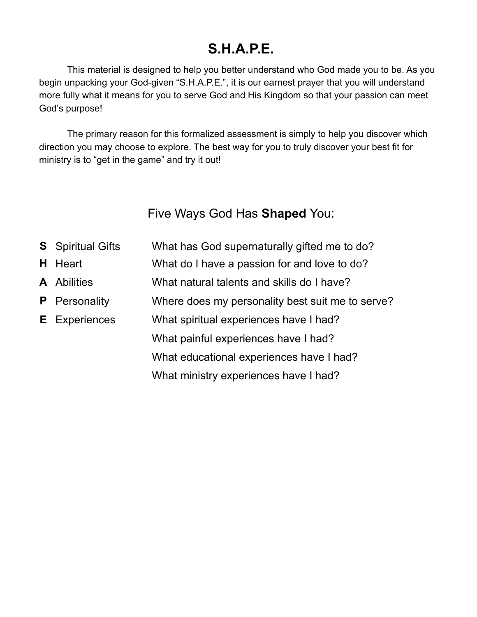# **S.H.A.P.E.**

This material is designed to help you better understand who God made you to be. As you begin unpacking your God-given "S.H.A.P.E.", it is our earnest prayer that you will understand more fully what it means for you to serve God and His Kingdom so that your passion can meet God's purpose!

The primary reason for this formalized assessment is simply to help you discover which direction you may choose to explore. The best way for you to truly discover your best fit for ministry is to "get in the game" and try it out!

Five Ways God Has **Shaped** You:

| <b>S</b> Spiritual Gifts | What has God supernaturally gifted me to do?     |
|--------------------------|--------------------------------------------------|
| <b>H</b> Heart           | What do I have a passion for and love to do?     |
| <b>A</b> Abilities       | What natural talents and skills do I have?       |
| <b>P</b> Personality     | Where does my personality best suit me to serve? |
| <b>E</b> Experiences     | What spiritual experiences have I had?           |
|                          | What painful experiences have I had?             |
|                          | What educational experiences have I had?         |
|                          | What ministry experiences have I had?            |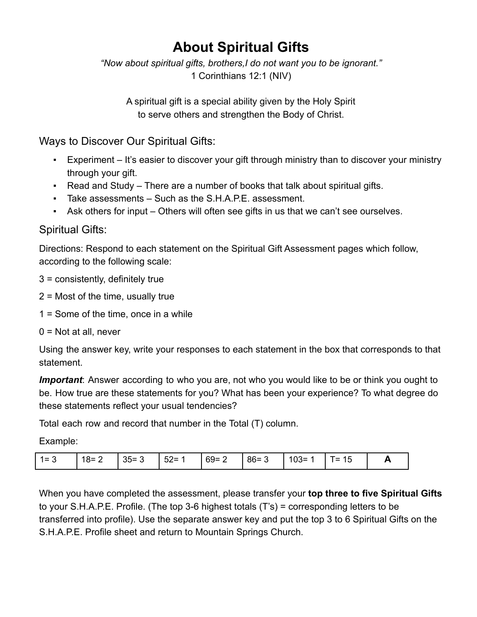# **About Spiritual Gifts**

*"Now about spiritual gifts, brothers,I do not want you to be ignorant."* 1 Corinthians 12:1 (NIV)

A spiritual gift is a special ability given by the Holy Spirit to serve others and strengthen the Body of Christ.

Ways to Discover Our Spiritual Gifts:

- Experiment It's easier to discover your gift through ministry than to discover your ministry through your gift.
- Read and Study There are a number of books that talk about spiritual gifts.
- Take assessments Such as the S.H.A.P.E. assessment.
- Ask others for input Others will often see gifts in us that we can't see ourselves.

### Spiritual Gifts:

Directions: Respond to each statement on the Spiritual Gift Assessment pages which follow, according to the following scale:

3 = consistently, definitely true

- 2 = Most of the time, usually true
- 1 = Some of the time, once in a while
- $0 = Not$  at all, never

Using the answer key, write your responses to each statement in the box that corresponds to that statement.

*Important*: Answer according to who you are, not who you would like to be or think you ought to be. How true are these statements for you? What has been your experience? To what degree do these statements reflect your usual tendencies?

Total each row and record that number in the Total (T) column.

Example:

| $1 =$ | $18 =$<br><u>_</u> | $35 =$<br> | - -<br>$52 =$ | $69 =$<br><u>_</u> | $86 =$ | $103 =$ | =<br>∪י | n |
|-------|--------------------|------------|---------------|--------------------|--------|---------|---------|---|
|-------|--------------------|------------|---------------|--------------------|--------|---------|---------|---|

When you have completed the assessment, please transfer your **top three to five Spiritual Gifts** to your S.H.A.P.E. Profile. (The top 3-6 highest totals (T's) = corresponding letters to be transferred into profile). Use the separate answer key and put the top 3 to 6 Spiritual Gifts on the S.H.A.P.E. Profile sheet and return to Mountain Springs Church.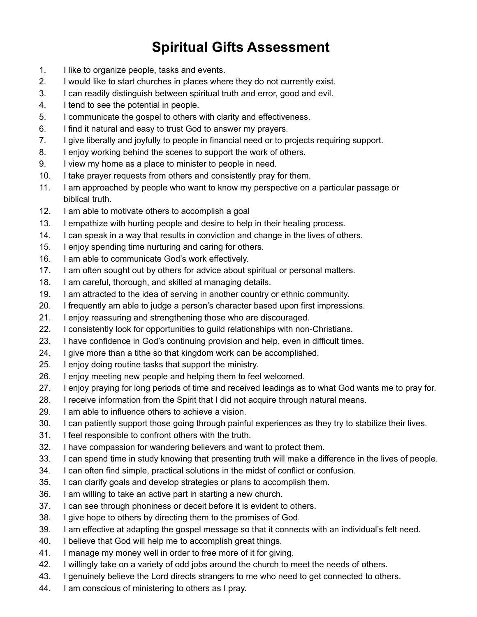# **Spiritual Gifts Assessment**

- 1. I like to organize people, tasks and events.
- 2. I would like to start churches in places where they do not currently exist.
- 3. I can readily distinguish between spiritual truth and error, good and evil.
- 4. I tend to see the potential in people.
- 5. I communicate the gospel to others with clarity and effectiveness.
- 6. I find it natural and easy to trust God to answer my prayers.
- 7. I give liberally and joyfully to people in financial need or to projects requiring support.
- 8. I enjoy working behind the scenes to support the work of others.
- 9. I view my home as a place to minister to people in need.
- 10. I take prayer requests from others and consistently pray for them.
- 11. I am approached by people who want to know my perspective on a particular passage or biblical truth.
- 12. I am able to motivate others to accomplish a goal
- 13. I empathize with hurting people and desire to help in their healing process.
- 14. I can speak in a way that results in conviction and change in the lives of others.
- 15. I enjoy spending time nurturing and caring for others.
- 16. I am able to communicate God's work effectively.
- 17. I am often sought out by others for advice about spiritual or personal matters.
- 18. I am careful, thorough, and skilled at managing details.
- 19. I am attracted to the idea of serving in another country or ethnic community.
- 20. I frequently am able to judge a person's character based upon first impressions.
- 21. I enjoy reassuring and strengthening those who are discouraged.
- 22. I consistently look for opportunities to guild relationships with non-Christians.
- 23. I have confidence in God's continuing provision and help, even in difficult times.
- 24. I give more than a tithe so that kingdom work can be accomplished.
- 25. I enjoy doing routine tasks that support the ministry.
- 26. I enjoy meeting new people and helping them to feel welcomed.
- 27. I enjoy praying for long periods of time and received leadings as to what God wants me to pray for.
- 28. I receive information from the Spirit that I did not acquire through natural means.
- 29. I am able to influence others to achieve a vision.
- 30. I can patiently support those going through painful experiences as they try to stabilize their lives.
- 31. I feel responsible to confront others with the truth.
- 32. I have compassion for wandering believers and want to protect them.
- 33. I can spend time in study knowing that presenting truth will make a difference in the lives of people.
- 34. I can often find simple, practical solutions in the midst of conflict or confusion.
- 35. I can clarify goals and develop strategies or plans to accomplish them.
- 36. I am willing to take an active part in starting a new church.
- 37. I can see through phoniness or deceit before it is evident to others.
- 38. I give hope to others by directing them to the promises of God.
- 39. I am effective at adapting the gospel message so that it connects with an individual's felt need.
- 40. I believe that God will help me to accomplish great things.
- 41. I manage my money well in order to free more of it for giving.
- 42. I willingly take on a variety of odd jobs around the church to meet the needs of others.
- 43. I genuinely believe the Lord directs strangers to me who need to get connected to others.
- 44. I am conscious of ministering to others as I pray.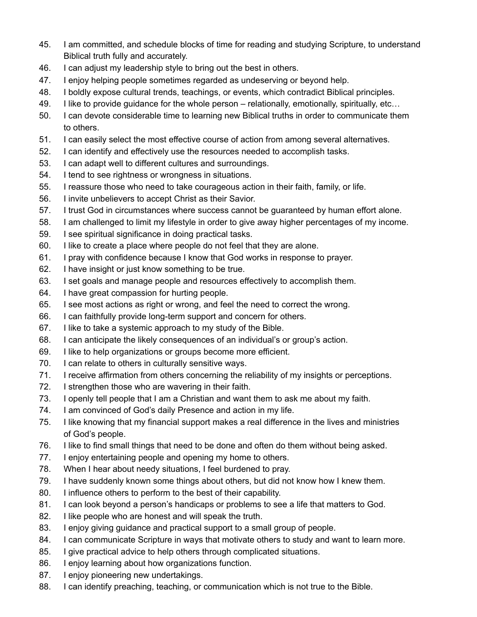- 45. I am committed, and schedule blocks of time for reading and studying Scripture, to understand Biblical truth fully and accurately.
- 46. I can adjust my leadership style to bring out the best in others.
- 47. I enjoy helping people sometimes regarded as undeserving or beyond help.
- 48. I boldly expose cultural trends, teachings, or events, which contradict Biblical principles.
- 49. I like to provide guidance for the whole person relationally, emotionally, spiritually, etc…
- 50. I can devote considerable time to learning new Biblical truths in order to communicate them to others.
- 51. I can easily select the most effective course of action from among several alternatives.
- 52. I can identify and effectively use the resources needed to accomplish tasks.
- 53. I can adapt well to different cultures and surroundings.
- 54. I tend to see rightness or wrongness in situations.
- 55. I reassure those who need to take courageous action in their faith, family, or life.
- 56. I invite unbelievers to accept Christ as their Savior.
- 57. I trust God in circumstances where success cannot be guaranteed by human effort alone.
- 58. I am challenged to limit my lifestyle in order to give away higher percentages of my income.
- 59. I see spiritual significance in doing practical tasks.
- 60. I like to create a place where people do not feel that they are alone.
- 61. I pray with confidence because I know that God works in response to prayer.
- 62. I have insight or just know something to be true.
- 63. I set goals and manage people and resources effectively to accomplish them.
- 64. I have great compassion for hurting people.
- 65. I see most actions as right or wrong, and feel the need to correct the wrong.
- 66. I can faithfully provide long-term support and concern for others.
- 67. I like to take a systemic approach to my study of the Bible.
- 68. I can anticipate the likely consequences of an individual's or group's action.
- 69. I like to help organizations or groups become more efficient.
- 70. I can relate to others in culturally sensitive ways.
- 71. I receive affirmation from others concerning the reliability of my insights or perceptions.
- 72. I strengthen those who are wavering in their faith.
- 73. I openly tell people that I am a Christian and want them to ask me about my faith.
- 74. I am convinced of God's daily Presence and action in my life.
- 75. I like knowing that my financial support makes a real difference in the lives and ministries of God's people.
- 76. I like to find small things that need to be done and often do them without being asked.
- 77. I enjoy entertaining people and opening my home to others.
- 78. When I hear about needy situations, I feel burdened to pray.
- 79. I have suddenly known some things about others, but did not know how I knew them.
- 80. I influence others to perform to the best of their capability.
- 81. I can look beyond a person's handicaps or problems to see a life that matters to God.
- 82. I like people who are honest and will speak the truth.
- 83. I enjoy giving guidance and practical support to a small group of people.
- 84. I can communicate Scripture in ways that motivate others to study and want to learn more.
- 85. I give practical advice to help others through complicated situations.
- 86. I enjoy learning about how organizations function.
- 87. I enjoy pioneering new undertakings.
- 88. I can identify preaching, teaching, or communication which is not true to the Bible.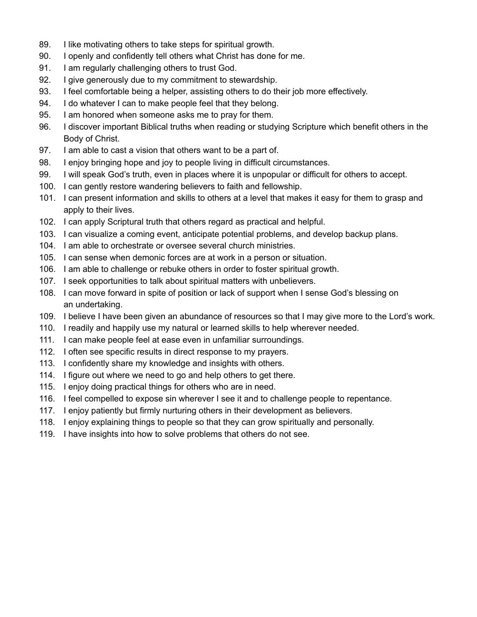- 89. I like motivating others to take steps for spiritual growth.
- 90. I openly and confidently tell others what Christ has done for me.
- 91. I am regularly challenging others to trust God.
- 92. I give generously due to my commitment to stewardship.
- 93. I feel comfortable being a helper, assisting others to do their job more effectively.
- 94. I do whatever I can to make people feel that they belong.
- 95. I am honored when someone asks me to pray for them.
- 96. I discover important Biblical truths when reading or studying Scripture which benefit others in the Body of Christ.
- 97. I am able to cast a vision that others want to be a part of.
- 98. I enjoy bringing hope and joy to people living in difficult circumstances.
- 99. I will speak God's truth, even in places where it is unpopular or difficult for others to accept.
- 100. I can gently restore wandering believers to faith and fellowship.
- 101. I can present information and skills to others at a level that makes it easy for them to grasp and apply to their lives.
- 102. I can apply Scriptural truth that others regard as practical and helpful.
- 103. I can visualize a coming event, anticipate potential problems, and develop backup plans.
- 104. I am able to orchestrate or oversee several church ministries.
- 105. I can sense when demonic forces are at work in a person or situation.
- 106. I am able to challenge or rebuke others in order to foster spiritual growth.
- 107. I seek opportunities to talk about spiritual matters with unbelievers.
- 108. I can move forward in spite of position or lack of support when I sense God's blessing on an undertaking.
- 109. I believe I have been given an abundance of resources so that I may give more to the Lord's work.
- 110. I readily and happily use my natural or learned skills to help wherever needed.
- 111. I can make people feel at ease even in unfamiliar surroundings.
- 112. I often see specific results in direct response to my prayers.
- 113. I confidently share my knowledge and insights with others.
- 114. I figure out where we need to go and help others to get there.
- 115. I enjoy doing practical things for others who are in need.
- 116. I feel compelled to expose sin wherever I see it and to challenge people to repentance.
- 117. I enjoy patiently but firmly nurturing others in their development as believers.
- 118. I enjoy explaining things to people so that they can grow spiritually and personally.
- 119. I have insights into how to solve problems that others do not see.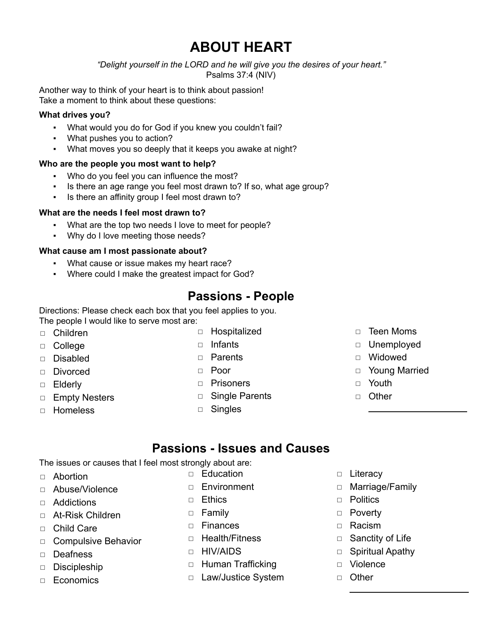# **ABOUT HEART**

*"Delight yourself in the LORD and he will give you the desires of your heart."* Psalms 37:4 (NIV)

Another way to think of your heart is to think about passion! Take a moment to think about these questions:

#### **What drives you?**

- What would you do for God if you knew you couldn't fail?
- What pushes you to action?
- What moves you so deeply that it keeps you awake at night?

#### **Who are the people you most want to help?**

- Who do you feel you can influence the most?
- Is there an age range you feel most drawn to? If so, what age group?
- Is there an affinity group I feel most drawn to?

#### **What are the needs I feel most drawn to?**

- What are the top two needs I love to meet for people?
- Why do I love meeting those needs?

#### **What cause am I most passionate about?**

- What cause or issue makes my heart race?
- Where could I make the greatest impact for God?

### **Passions - People**

Directions: Please check each box that you feel applies to you. The people I would like to serve most are:

- ◻ Children
- ◻ College
- ◻ Disabled
- ◻ Divorced
- ◻ Elderly
- ◻ Empty Nesters
- ◻ Homeless
- ◻ Hospitalized
- ◻ Infants
- ◻ Parents
- ◻ Poor
- ◻ Prisoners
- ◻ Single Parents
- ◻ Singles
- ◻ Teen Moms
- ◻ Unemployed
- ◻ Widowed
- ◻ Young Married
- ◻ Youth
- ◻ Other

### **Passions - Issues and Causes**

The issues or causes that I feel most strongly about are:

- ◻ Abortion
- ◻ Abuse/Violence

◻ Addictions

- ◻ At-Risk Children
- ◻ Child Care
- ◻ Compulsive Behavior
- ◻ Deafness
- ◻ Discipleship
- ◻ Economics
- -
- 
- 
- ◻ Finances
- ◻ Health/Fitness
- ◻ HIV/AIDS
- ◻ Human Trafficking
- ◻ Law/Justice System
- ◻ Literacy
- ◻ Marriage/Family
- ◻ Politics
- ◻ Poverty
- ◻ Racism
- □ Sanctity of Life
- □ Spiritual Apathy
- ◻ Violence
- ◻ Other
- ◻ Education
- ◻ Environment
- ◻ Ethics
- ◻ Family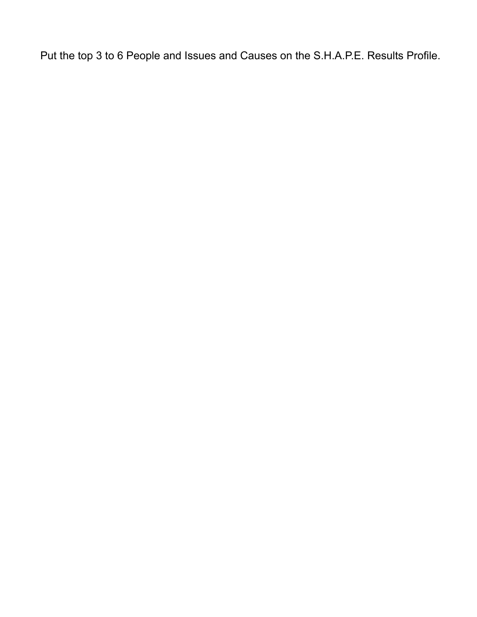Put the top 3 to 6 People and Issues and Causes on the S.H.A.P.E. Results Profile.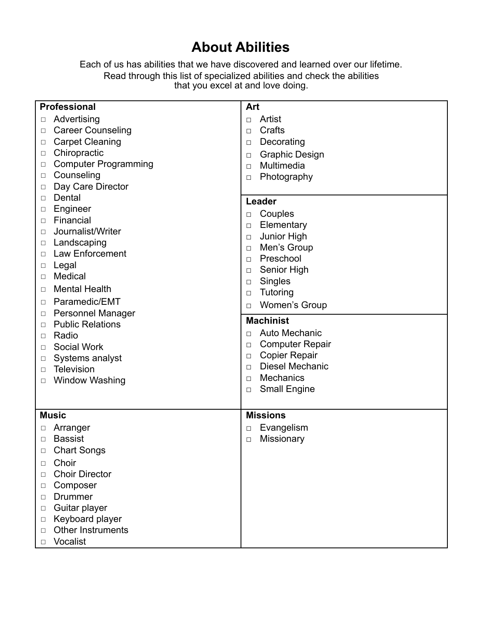## **About Abilities**

Each of us has abilities that we have discovered and learned over our lifetime. Read through this list of specialized abilities and check the abilities that you excel at and love doing.

|        | <b>Professional</b>         | Art    |                          |  |  |  |
|--------|-----------------------------|--------|--------------------------|--|--|--|
| □      | Advertising                 | □      | Artist                   |  |  |  |
| □      | <b>Career Counseling</b>    | $\Box$ | Crafts                   |  |  |  |
| □      | <b>Carpet Cleaning</b>      | $\Box$ | Decorating               |  |  |  |
| $\Box$ | Chiropractic                | $\Box$ | <b>Graphic Design</b>    |  |  |  |
| □      | <b>Computer Programming</b> | $\Box$ | Multimedia               |  |  |  |
| □      | Counseling                  | $\Box$ | Photography              |  |  |  |
| □      | Day Care Director           |        |                          |  |  |  |
| □      | Dental                      |        | Leader                   |  |  |  |
| □      | Engineer                    |        |                          |  |  |  |
| □      | Financial                   | $\Box$ | Couples                  |  |  |  |
| □      | Journalist/Writer           | $\Box$ | Elementary               |  |  |  |
| □      | Landscaping                 | $\Box$ | Junior High              |  |  |  |
| □      | <b>Law Enforcement</b>      | $\Box$ | Men's Group<br>Preschool |  |  |  |
| □      | Legal                       | $\Box$ |                          |  |  |  |
| □      | Medical                     | $\Box$ | Senior High              |  |  |  |
| □      | <b>Mental Health</b>        | $\Box$ | Singles                  |  |  |  |
| □      | Paramedic/EMT               | $\Box$ | Tutoring                 |  |  |  |
| □      | <b>Personnel Manager</b>    | $\Box$ | <b>Women's Group</b>     |  |  |  |
| □      | <b>Public Relations</b>     |        | <b>Machinist</b>         |  |  |  |
| □      | Radio                       | □      | Auto Mechanic            |  |  |  |
| □      | Social Work                 | $\Box$ | <b>Computer Repair</b>   |  |  |  |
| □      | Systems analyst             | $\Box$ | <b>Copier Repair</b>     |  |  |  |
| □      | <b>Television</b>           | $\Box$ | <b>Diesel Mechanic</b>   |  |  |  |
| □      | <b>Window Washing</b>       | $\Box$ | <b>Mechanics</b>         |  |  |  |
|        |                             | $\Box$ | <b>Small Engine</b>      |  |  |  |
|        |                             |        |                          |  |  |  |
|        | <b>Music</b>                |        | <b>Missions</b>          |  |  |  |
| □      | Arranger                    | $\Box$ | Evangelism               |  |  |  |
| □      | <b>Bassist</b>              | $\Box$ | Missionary               |  |  |  |
| □      | <b>Chart Songs</b>          |        |                          |  |  |  |
| □      | Choir                       |        |                          |  |  |  |
| □      | <b>Choir Director</b>       |        |                          |  |  |  |
| □      | Composer                    |        |                          |  |  |  |
| □      | <b>Drummer</b>              |        |                          |  |  |  |
| $\Box$ | Guitar player               |        |                          |  |  |  |
| $\Box$ | Keyboard player             |        |                          |  |  |  |
| □      | Other Instruments           |        |                          |  |  |  |
| $\Box$ | Vocalist                    |        |                          |  |  |  |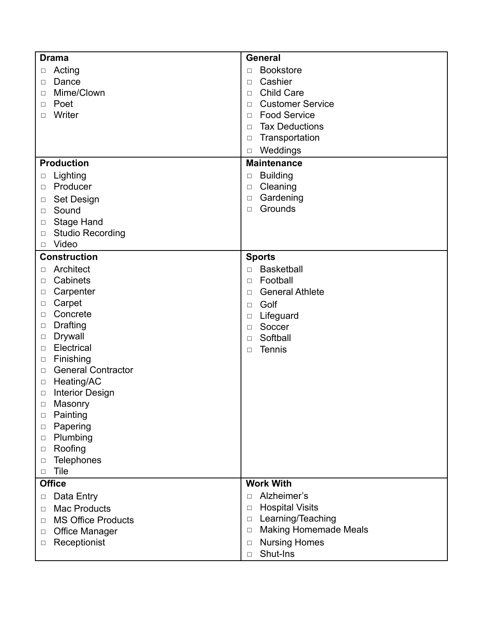| <b>Drama</b>                      | <b>General</b>                  |  |  |  |
|-----------------------------------|---------------------------------|--|--|--|
| Acting                            | <b>Bookstore</b>                |  |  |  |
| □                                 | $\Box$                          |  |  |  |
| Dance                             | Cashier                         |  |  |  |
| $\Box$                            | $\Box$                          |  |  |  |
| Mime/Clown                        | <b>Child Care</b>               |  |  |  |
| □                                 | □                               |  |  |  |
| Poet                              | <b>Customer Service</b>         |  |  |  |
| □                                 | □                               |  |  |  |
| Writer                            | <b>Food Service</b>             |  |  |  |
| □                                 | $\Box$                          |  |  |  |
|                                   | <b>Tax Deductions</b><br>$\Box$ |  |  |  |
|                                   | Transportation<br>$\Box$        |  |  |  |
|                                   | Weddings<br>$\Box$              |  |  |  |
| <b>Production</b>                 | <b>Maintenance</b>              |  |  |  |
| Lighting                          | <b>Building</b>                 |  |  |  |
| □                                 | $\Box$                          |  |  |  |
| Producer                          | Cleaning                        |  |  |  |
| □                                 | $\Box$                          |  |  |  |
| Set Design                        | Gardening                       |  |  |  |
| □                                 | $\Box$                          |  |  |  |
| Sound                             | Grounds                         |  |  |  |
| □                                 | $\Box$                          |  |  |  |
| Stage Hand<br>□                   |                                 |  |  |  |
| <b>Studio Recording</b><br>$\Box$ |                                 |  |  |  |
| Video<br>$\Box$                   |                                 |  |  |  |
| <b>Construction</b>               | <b>Sports</b>                   |  |  |  |
| Architect                         | <b>Basketball</b>               |  |  |  |
| □                                 | $\Box$                          |  |  |  |
| Cabinets                          | Football                        |  |  |  |
| □                                 | $\Box$                          |  |  |  |
| Carpenter                         | <b>General Athlete</b>          |  |  |  |
| □                                 | $\Box$                          |  |  |  |
| Carpet                            | Golf                            |  |  |  |
| $\Box$                            | $\Box$                          |  |  |  |
| Concrete                          | Lifeguard                       |  |  |  |
| □                                 | $\Box$                          |  |  |  |
| Drafting                          | Soccer                          |  |  |  |
| $\Box$                            | $\Box$                          |  |  |  |
| Drywall                           | Softball                        |  |  |  |
| □                                 | $\Box$                          |  |  |  |
| Electrical                        | Tennis                          |  |  |  |
| $\Box$                            | $\Box$                          |  |  |  |
| Finishing<br>$\Box$               |                                 |  |  |  |
| <b>General Contractor</b><br>□    |                                 |  |  |  |
| Heating/AC<br>$\Box$              |                                 |  |  |  |
| <b>Interior Design</b><br>□       |                                 |  |  |  |
| Masonry<br>$\Box$<br>Painting     |                                 |  |  |  |
| $\Box$<br>Papering                |                                 |  |  |  |
| □<br>Plumbing<br>$\Box$           |                                 |  |  |  |
| Roofing<br>$\Box$                 |                                 |  |  |  |
| <b>Telephones</b><br>$\Box$       |                                 |  |  |  |
| Tile<br>$\Box$                    |                                 |  |  |  |
| <b>Office</b>                     | <b>Work With</b>                |  |  |  |
| Data Entry                        | Alzheimer's                     |  |  |  |
| $\Box$                            | $\Box$                          |  |  |  |
| <b>Mac Products</b>               | <b>Hospital Visits</b>          |  |  |  |
| □                                 | $\Box$                          |  |  |  |
| <b>MS Office Products</b>         | Learning/Teaching               |  |  |  |
| □                                 | $\Box$                          |  |  |  |
| <b>Office Manager</b>             | <b>Making Homemade Meals</b>    |  |  |  |
| $\Box$                            | $\Box$                          |  |  |  |
| Receptionist                      | <b>Nursing Homes</b>            |  |  |  |
| □                                 | $\Box$                          |  |  |  |
|                                   | Shut-Ins<br>$\Box$              |  |  |  |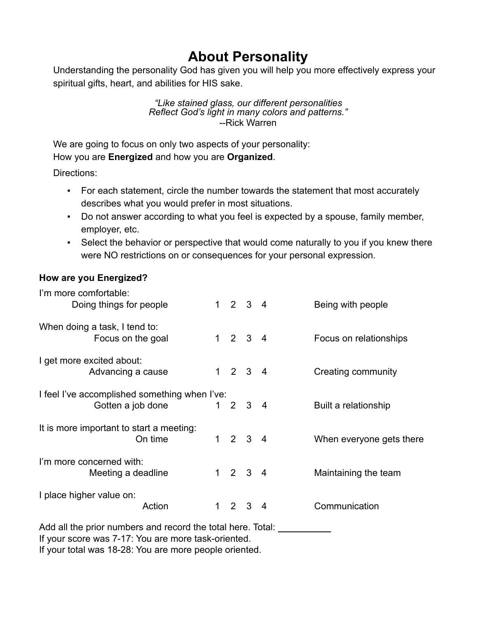## **About Personality**

Understanding the personality God has given you will help you more effectively express your spiritual gifts, heart, and abilities for HIS sake.

#### *"Like stained glass, our different personalities Reflect God's light in many colors and patterns."* --Rick Warren

We are going to focus on only two aspects of your personality:

How you are **Energized** and how you are **Organized**.

Directions:

- For each statement, circle the number towards the statement that most accurately describes what you would prefer in most situations.
- Do not answer according to what you feel is expected by a spouse, family member, employer, etc.
- Select the behavior or perspective that would come naturally to you if you knew there were NO restrictions on or consequences for your personal expression.

### **How are you Energized?**

| I'm more comfortable:                                              |  |  |                             |  |                          |  |
|--------------------------------------------------------------------|--|--|-----------------------------|--|--------------------------|--|
| Doing things for people                                            |  |  | $1 2 3 4$                   |  | Being with people        |  |
| When doing a task, I tend to:<br>Focus on the goal                 |  |  | $1 2 3 4$                   |  | Focus on relationships   |  |
| I get more excited about:<br>Advancing a cause                     |  |  | $1 \quad 2 \quad 3 \quad 4$ |  | Creating community       |  |
| I feel I've accomplished something when I've:<br>Gotten a job done |  |  | $1 2 3 4$                   |  | Built a relationship     |  |
| It is more important to start a meeting:<br>On time                |  |  | $1 \quad 2 \quad 3 \quad 4$ |  | When everyone gets there |  |
| I'm more concerned with:<br>Meeting a deadline                     |  |  | $1 \quad 2 \quad 3 \quad 4$ |  | Maintaining the team     |  |
| I place higher value on:<br>Action                                 |  |  | $1 \quad 2 \quad 3 \quad 4$ |  | Communication            |  |
| Add all the prior numbers and record the total here. Total:        |  |  |                             |  |                          |  |

If your score was 7-17: You are more task-oriented.

If your total was 18-28: You are more people oriented.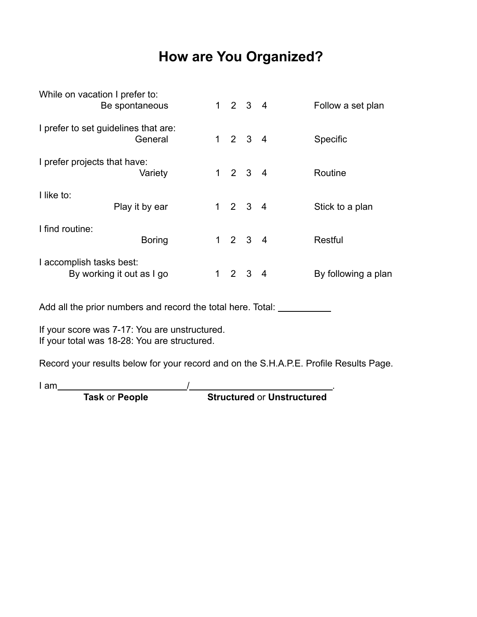# **How are You Organized?**

|                                                                                               | <b>Task or People</b> |  |                             |                             |                     | <b>Structured or Unstructured</b> |
|-----------------------------------------------------------------------------------------------|-----------------------|--|-----------------------------|-----------------------------|---------------------|-----------------------------------|
| l am                                                                                          |                       |  |                             |                             |                     |                                   |
| Record your results below for your record and on the S.H.A.P.E. Profile Results Page.         |                       |  |                             |                             |                     |                                   |
| If your score was 7-17: You are unstructured.<br>If your total was 18-28: You are structured. |                       |  |                             |                             |                     |                                   |
| Add all the prior numbers and record the total here. Total: _____________                     |                       |  |                             |                             |                     |                                   |
| I accomplish tasks best:<br>By working it out as I go                                         |                       |  | $1 \quad 2 \quad 3 \quad 4$ |                             | By following a plan |                                   |
| I find routine:<br><b>Boring</b>                                                              |                       |  |                             | $1 2 3 4$                   |                     | <b>Restful</b>                    |
| I like to:<br>Play it by ear                                                                  |                       |  |                             | $1 \quad 2 \quad 3 \quad 4$ |                     | Stick to a plan                   |
| I prefer projects that have:<br>Variety                                                       |                       |  |                             | $1 \quad 2 \quad 3 \quad 4$ |                     | Routine                           |
| I prefer to set guidelines that are:                                                          |                       |  | $1 \quad 2 \quad 3 \quad 4$ |                             | Specific            |                                   |
| While on vacation I prefer to:<br>Be spontaneous                                              |                       |  | $1 \quad 2 \quad 3 \quad 4$ |                             | Follow a set plan   |                                   |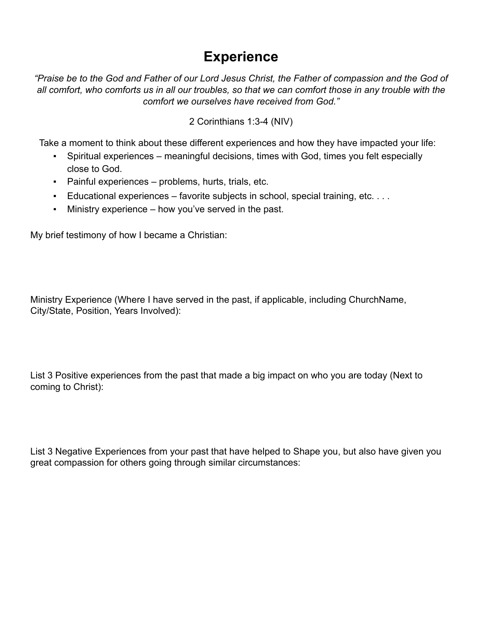## **Experience**

*"Praise be to the God and Father of our Lord Jesus Christ, the Father of compassion and the God of all comfort, who comforts us in all our troubles, so that we can comfort those in any trouble with the comfort we ourselves have received from God."*

2 Corinthians 1:3-4 (NIV)

Take a moment to think about these different experiences and how they have impacted your life:

- Spiritual experiences meaningful decisions, times with God, times you felt especially close to God.
- Painful experiences problems, hurts, trials, etc.
- $\blacksquare$  Educational experiences favorite subjects in school, special training, etc. ...
- Ministry experience how you've served in the past.

My brief testimony of how I became a Christian:

Ministry Experience (Where I have served in the past, if applicable, including ChurchName, City/State, Position, Years Involved):

List 3 Positive experiences from the past that made a big impact on who you are today (Next to coming to Christ):

List 3 Negative Experiences from your past that have helped to Shape you, but also have given you great compassion for others going through similar circumstances: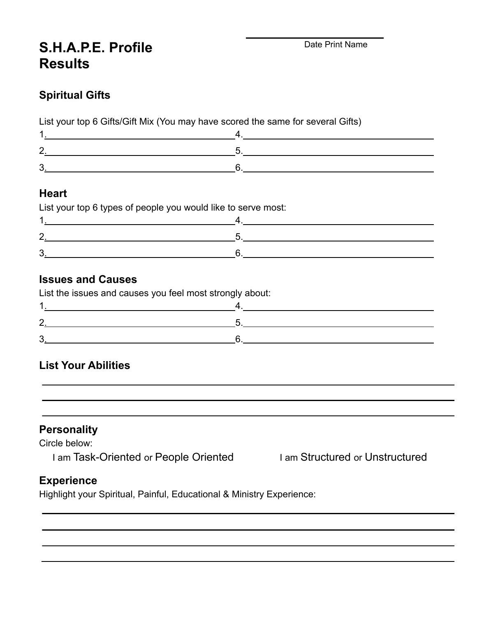## **S.H.A.P.E. Profile Results**

### **Spiritual Gifts**

List your top 6 Gifts/Gift Mix (You may have scored the same for several Gifts)

### **Heart**

| າ |  |
|---|--|
| 3 |  |

### **Issues and Causes**

List the issues and causes you feel most strongly about:

### **List Your Abilities**

**Personality**

Circle below:

I am Task-Oriented or People Oriented I am Structured or Unstructured

### **Experience**

Highlight your Spiritual, Painful, Educational & Ministry Experience: